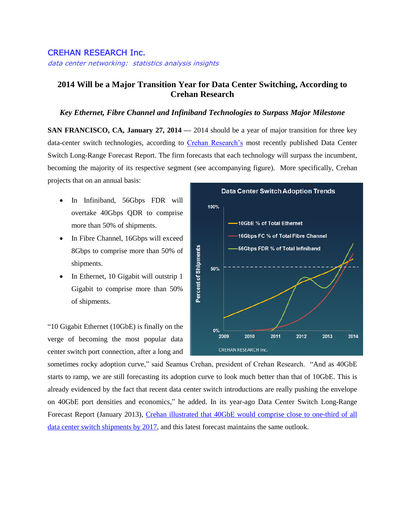## CREHAN RESEARCH Inc.

data center networking: statistics analysis insights

## **2014 Will be a Major Transition Year for Data Center Switching, According to Crehan Research**

## *Key Ethernet, Fibre Channel and Infiniband Technologies to Surpass Major Milestone*

**SAN FRANCISCO, CA, January 27, 2014 —** 2014 should be a year of major transition for three key data-center switch technologies, according to [Crehan Research's](http://www.crehanresearch.com/) most recently published Data Center Switch Long-Range Forecast Report. The firm forecasts that each technology will surpass the incumbent, becoming the majority of its respective segment (see accompanying figure). More specifically, Crehan projects that on an annual basis:

- In Infiniband, 56Gbps FDR will overtake 40Gbps QDR to comprise more than 50% of shipments.
- In Fibre Channel, 16Gbps will exceed 8Gbps to comprise more than 50% of shipments.
- In Ethernet, 10 Gigabit will outstrip 1 Gigabit to comprise more than 50% of shipments.

"10 Gigabit Ethernet (10GbE) is finally on the verge of becoming the most popular data center switch port connection, after a long and



sometimes rocky adoption curve," said Seamus Crehan, president of Crehan Research. "And as 40GbE starts to ramp, we are still forecasting its adoption curve to look much better than that of 10GbE. This is already evidenced by the fact that recent data center switch introductions are really pushing the envelope on 40GbE port densities and economics," he added. In its year-ago Data Center Switch Long-Range Forecast Report (January 2013), Crehan illustrated that 40GbE [would comprise close to one-third of all](http://www.prnewswire.com/news-releases/data-center-switch-market-to-approach-16-billion-according-to-crehan-research-187867031.html)  [data center switch shipments by 2017,](http://www.prnewswire.com/news-releases/data-center-switch-market-to-approach-16-billion-according-to-crehan-research-187867031.html) and this latest forecast maintains the same outlook.